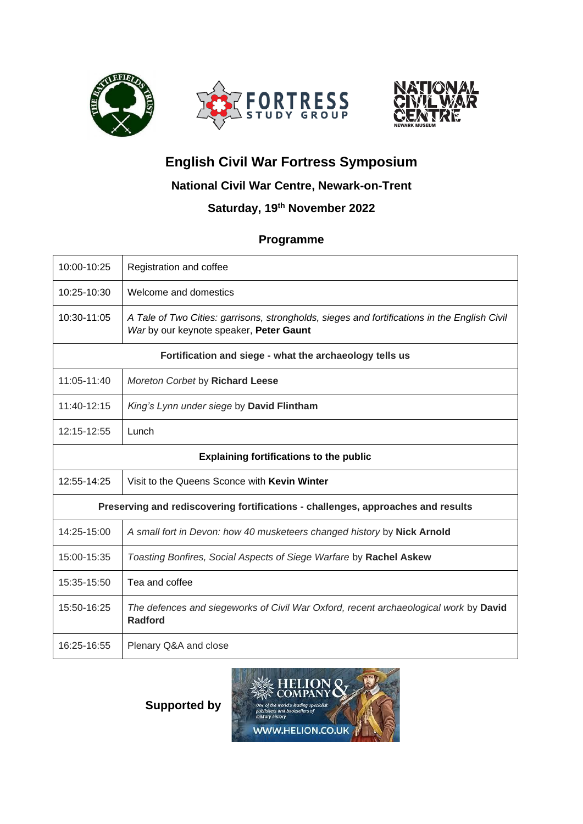



# **English Civil War Fortress Symposium**

# **National Civil War Centre, Newark-on-Trent**

# **Saturday, 19th November 2022**

# **Programme**

| 10:00-10:25                                                                      | Registration and coffee                                                                                                                 |
|----------------------------------------------------------------------------------|-----------------------------------------------------------------------------------------------------------------------------------------|
| 10:25-10:30                                                                      | Welcome and domestics                                                                                                                   |
| 10:30-11:05                                                                      | A Tale of Two Cities: garrisons, strongholds, sieges and fortifications in the English Civil<br>War by our keynote speaker, Peter Gaunt |
| Fortification and siege - what the archaeology tells us                          |                                                                                                                                         |
| 11:05-11:40                                                                      | Moreton Corbet by Richard Leese                                                                                                         |
| $11:40-12:15$                                                                    | King's Lynn under siege by David Flintham                                                                                               |
| 12:15-12:55                                                                      | Lunch                                                                                                                                   |
| <b>Explaining fortifications to the public</b>                                   |                                                                                                                                         |
| 12:55-14:25                                                                      | Visit to the Queens Sconce with Kevin Winter                                                                                            |
| Preserving and rediscovering fortifications - challenges, approaches and results |                                                                                                                                         |
| 14:25-15:00                                                                      | A small fort in Devon: how 40 musketeers changed history by Nick Arnold                                                                 |
| 15:00-15:35                                                                      | Toasting Bonfires, Social Aspects of Siege Warfare by Rachel Askew                                                                      |
| 15:35-15:50                                                                      | Tea and coffee                                                                                                                          |
| 15:50-16:25                                                                      | The defences and siegeworks of Civil War Oxford, recent archaeological work by David<br><b>Radford</b>                                  |
| 16:25-16:55                                                                      | Plenary Q&A and close                                                                                                                   |

**Supported by**

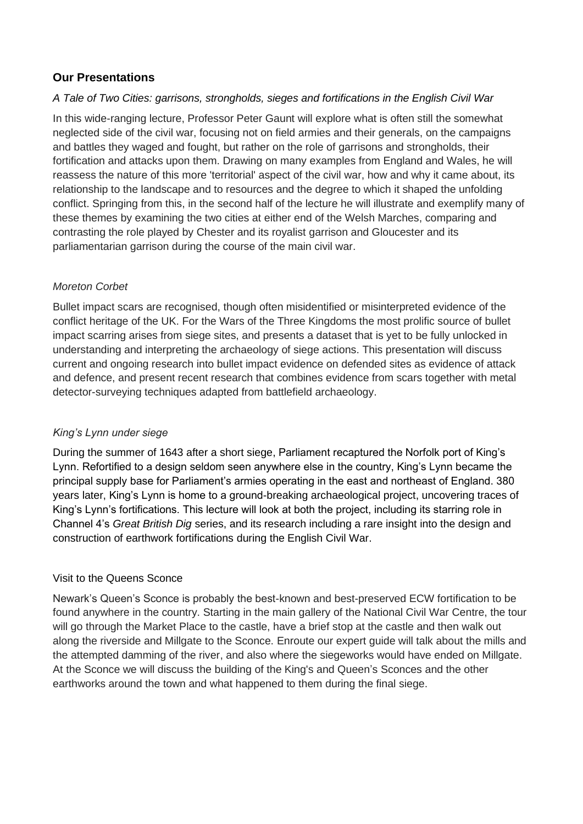# **Our Presentations**

#### *A Tale of Two Cities: garrisons, strongholds, sieges and fortifications in the English Civil War*

In this wide-ranging lecture, Professor Peter Gaunt will explore what is often still the somewhat neglected side of the civil war, focusing not on field armies and their generals, on the campaigns and battles they waged and fought, but rather on the role of garrisons and strongholds, their fortification and attacks upon them. Drawing on many examples from England and Wales, he will reassess the nature of this more 'territorial' aspect of the civil war, how and why it came about, its relationship to the landscape and to resources and the degree to which it shaped the unfolding conflict. Springing from this, in the second half of the lecture he will illustrate and exemplify many of these themes by examining the two cities at either end of the Welsh Marches, comparing and contrasting the role played by Chester and its royalist garrison and Gloucester and its parliamentarian garrison during the course of the main civil war.

### *Moreton Corbet*

Bullet impact scars are recognised, though often misidentified or misinterpreted evidence of the conflict heritage of the UK. For the Wars of the Three Kingdoms the most prolific source of bullet impact scarring arises from siege sites, and presents a dataset that is yet to be fully unlocked in understanding and interpreting the archaeology of siege actions. This presentation will discuss current and ongoing research into bullet impact evidence on defended sites as evidence of attack and defence, and present recent research that combines evidence from scars together with metal detector-surveying techniques adapted from battlefield archaeology.

#### *King's Lynn under siege*

During the summer of 1643 after a short siege, Parliament recaptured the Norfolk port of King's Lynn. Refortified to a design seldom seen anywhere else in the country, King's Lynn became the principal supply base for Parliament's armies operating in the east and northeast of England. 380 years later, King's Lynn is home to a ground-breaking archaeological project, uncovering traces of King's Lynn's fortifications. This lecture will look at both the project, including its starring role in Channel 4's *Great British Dig* series, and its research including a rare insight into the design and construction of earthwork fortifications during the English Civil War.

#### Visit to the Queens Sconce

Newark's Queen's Sconce is probably the best-known and best-preserved ECW fortification to be found anywhere in the country. Starting in the main gallery of the National Civil War Centre, the tour will go through the Market Place to the castle, have a brief stop at the castle and then walk out along the riverside and Millgate to the Sconce. Enroute our expert guide will talk about the mills and the attempted damming of the river, and also where the siegeworks would have ended on Millgate. At the Sconce we will discuss the building of the King's and Queen's Sconces and the other earthworks around the town and what happened to them during the final siege.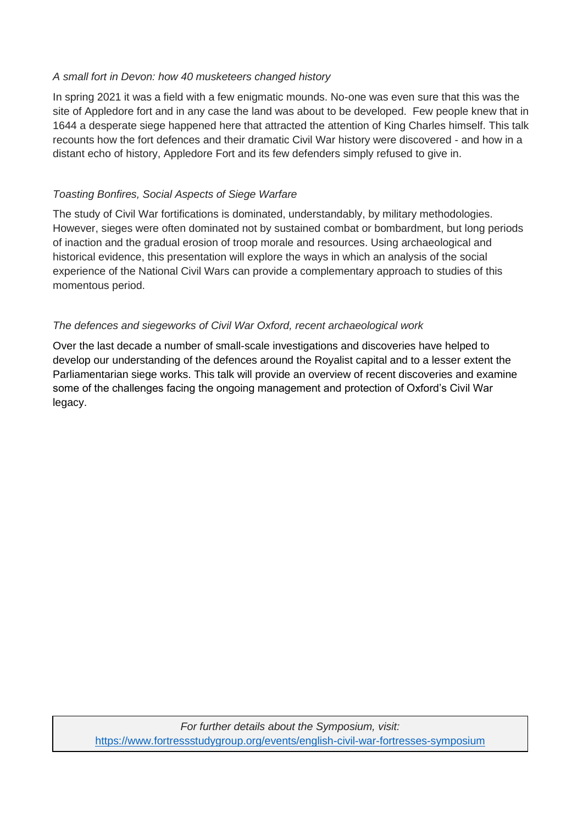### *A small fort in Devon: how 40 musketeers changed history*

In spring 2021 it was a field with a few enigmatic mounds. No-one was even sure that this was the site of Appledore fort and in any case the land was about to be developed. Few people knew that in 1644 a desperate siege happened here that attracted the attention of King Charles himself. This talk recounts how the fort defences and their dramatic Civil War history were discovered - and how in a distant echo of history, Appledore Fort and its few defenders simply refused to give in.

# *Toasting Bonfires, Social Aspects of Siege Warfare*

The study of Civil War fortifications is dominated, understandably, by military methodologies. However, sieges were often dominated not by sustained combat or bombardment, but long periods of inaction and the gradual erosion of troop morale and resources. Using archaeological and historical evidence, this presentation will explore the ways in which an analysis of the social experience of the National Civil Wars can provide a complementary approach to studies of this momentous period.

# *The defences and siegeworks of Civil War Oxford, recent archaeological work*

Over the last decade a number of small-scale investigations and discoveries have helped to develop our understanding of the defences around the Royalist capital and to a lesser extent the Parliamentarian siege works. This talk will provide an overview of recent discoveries and examine some of the challenges facing the ongoing management and protection of Oxford's Civil War legacy.